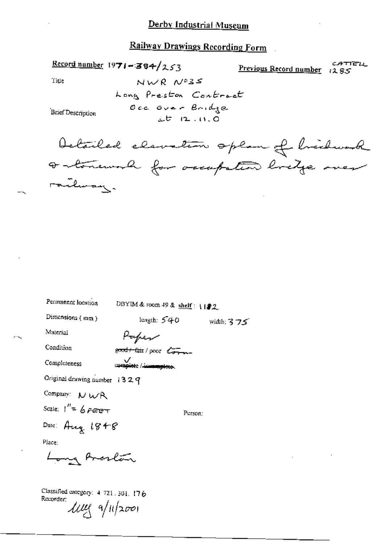Record number 1971-384/253

CATTELL Previous Record number 1285

Title

 $NWR$   $NPSS$ Long Preston Contract Occ over Bridge  $25 - 12 - 11, 0$ 

**Brief Description** 

Detailed elevation oplan of brichwood a tonewal for occupation bridge over railway.

Permanent location DBYIM & room 49 & shelf:  $\frac{192}{2}$ 

Dimensions (mm)

length:  $540$ width: 3 フゴ

Material Condition

Completeness

Paper good+fair/poor com

**Complete** / immemplete.

Original drawing number 1329

Company: NWR

Scale:  $1'' = 6$   $\rho$   $\sigma$   $\sigma$ 

Person:

Date: Aug  $1848$ 

Place:

Long Arcalan

Classified category: 4-721.301.176 Recorder:  $\mu$ ug a/11/2001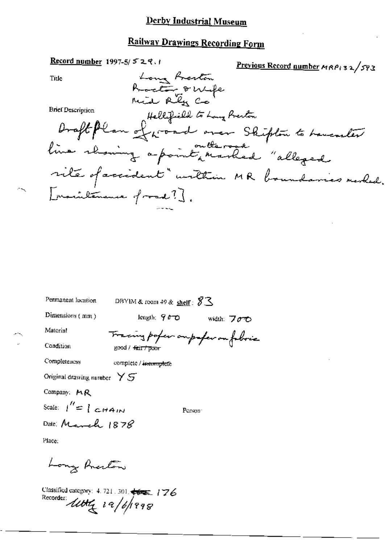# **Railway Drawings Recording Form**

| <u>Record number</u> 1997-5/ 5 2 そ、1                                                           | Previous Record number MRPi 32/593 |
|------------------------------------------------------------------------------------------------|------------------------------------|
| Long Fresten<br>Tide                                                                           |                                    |
|                                                                                                |                                    |
| hoeto 8 Wife                                                                                   |                                    |
| <b>Brief Description</b>                                                                       |                                    |
| Brief Description Hellifield to Long Preston<br>Draft Plan ef proved oner Shipton to Laurenter |                                    |
| line rhowing a point, marked "allegad                                                          |                                    |
| rite of accident" unthin MR boundaries merhed.                                                 |                                    |
| Inaculanance of road? J.                                                                       |                                    |
|                                                                                                |                                    |

Permanent location

DBYIM & room 49 & shelf: \$3

Dimensions (mm)

length;  $900$  width:  $700$ 

ing paper oupofer on fobric

Person<sup>-</sup>

Material

ᡯ᠇

Condition

Completeness

complete / inemuplete

good / fair / poor

Original drawing number  $\forall S$ 

Company: MR

Scale:  $\int'' = \int cH A_{IN}$ 

Date: March 1878

Place;

Long Anceston

Classified category: 4, 721, 301, +6=1 / 76 Recorder utty 19/6/1998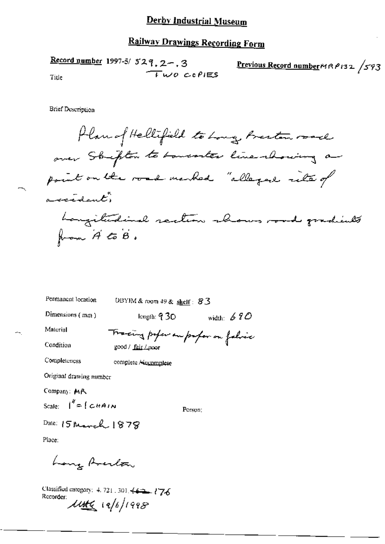# **Railway Drawings Recording Form**

Record number 1997-5/ $529, 2-, 3$ Previous Record number MRP132 /593 TWO COPIES Title

**Brief Description** 

Plan of Hellifield to Long Beston road over Stripton to towarter line showing a point on the road marked "allegad rite of accedent" Longitudinal saction shows road gradients from A to B.

| Permanent location                                | DBYIM & room $49$ & shelf: $83$   |              |
|---------------------------------------------------|-----------------------------------|--------------|
| Dimensions (mm)                                   | length: $\rm 930$                 | width: $690$ |
| Material                                          | Tracing paper on proper on folice |              |
| Condition                                         | good / <u>fair / poo</u> r        |              |
| Completeness                                      | complete / incomplete             |              |
| Original drawing number                           |                                   |              |
| Company: MR                                       |                                   |              |
| Scale: $\int^{\theta} = \int \mathcal{L} H A I N$ | Person: I                         |              |
| Date: $15$ March $1878$                           |                                   |              |

Place:

Long Averlow

Classified category: 4, 721, 301, 44:2 176 Recorder:  $\frac{1}{4}$   $\frac{1}{4}$   $\frac{1}{4}$   $\frac{1}{4}$   $\frac{1}{4}$   $\frac{1}{4}$   $\frac{1}{4}$   $\frac{1}{4}$   $\frac{1}{4}$   $\frac{1}{4}$   $\frac{1}{4}$   $\frac{1}{4}$   $\frac{1}{4}$   $\frac{1}{4}$   $\frac{1}{4}$   $\frac{1}{4}$   $\frac{1}{4}$   $\frac{1}{4}$   $\frac{1}{4}$   $\frac{1}{4}$   $\frac{1}{4}$   $\frac{1}{4}$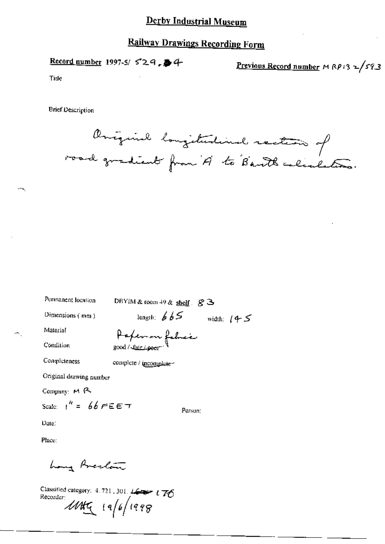# **Railway Drawings Recording Form**

Record number 1997-5/529, 第4

Previous Record number MRP132/593

Tide

**Brief Description** 

Oniquial longitudinal rection of

| Permanent location               | DBYIM & room 49 & shelf $g \geq$ |              |
|----------------------------------|----------------------------------|--------------|
| Dimensions (mm)                  | length: $665$                    | width: $(45$ |
| Material                         |                                  |              |
| Condition                        | Paper on fabrac                  |              |
| Completeness                     | complete / incomplete-           |              |
| Original drawing number          |                                  |              |
| Company: M R                     |                                  |              |
| Scale: $1^h = 66$ $F \in E \top$ | Person:                          |              |
| Date:                            |                                  |              |
| Place:                           |                                  |              |
|                                  |                                  |              |

Classified category: 4.721, 301. 16 176 Recorder 19/6/1998

hong Areston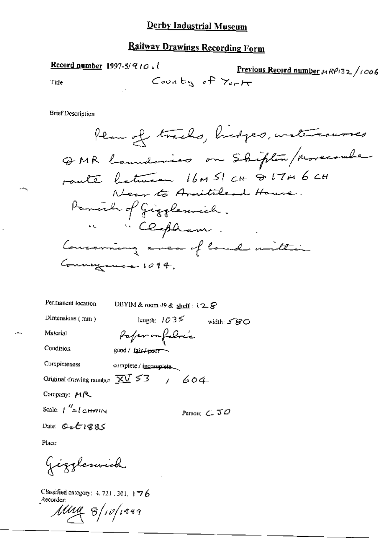Record number 1997-5/910, 1 Previous Record number +RP132/1006 County of York Title

**Brief Description** 

| Permanent location                                                   | DBYIM & room 49 & shelf: $12.8$ |  |                       |  |
|----------------------------------------------------------------------|---------------------------------|--|-----------------------|--|
| Dimensions (mm)                                                      | length: $1035$                  |  | width: 5 SO           |  |
| Material                                                             | Pafer on folice                 |  |                       |  |
| Condition                                                            | good / fair / pour              |  |                       |  |
| Completeness                                                         | complete / incomplete.          |  |                       |  |
| Original drawing number $\overline{\chi} \overline{V}$ 53 / 604      |                                 |  |                       |  |
| Company: MR                                                          |                                 |  |                       |  |
| Scale: $\int_{0}^{R}$ = $\int_{0}^{R}$ $\int_{0}^{R}$ $\int_{0}^{R}$ |                                 |  | Person: $\epsilon$ 30 |  |
| $\overline{a}$ and $\overline{a}$ and $\overline{a}$                 |                                 |  |                       |  |

Date:  $Q_2E1885$ 

Place:

Gizzleswick

Classified category: 4, 721, 301, 176 Recorder:

Mug 8/10/1999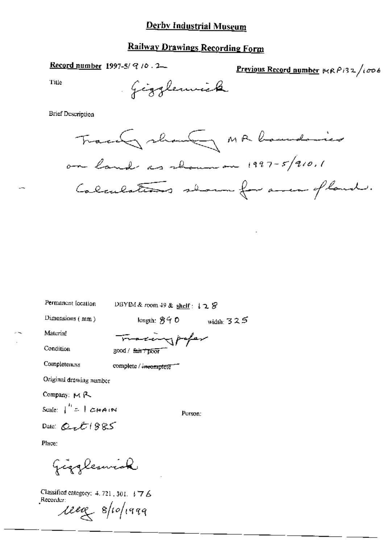### **Railway Drawings Recording Form**

Record number 1997-5/ $9/10.2$ 

Previous Record number V(RP132/1006

Title

**Brief Description** 



Permanent location

DBYIM & room 49 & shelf: 128

Dimensions (nim)

length:  $840$  width:  $325$ 

Material Condition

Completeness

maximpofer  $3000 / f$   $\frac{f}{f}$   $\frac{f}{f}$   $\frac{f}{f}$   $\frac{f}{f}$   $\frac{f}{f}$   $\frac{f}{f}$   $\frac{f}{f}$ 

complete / incomplete

Original drawing number

Company: MR

Scale:  $\int_0^L = \int \mathcal{L} H \mathcal{A} dM$ 

Date:  $Q_{\alpha}E1985$ 

Person:

Place:

Giggleswick

Classified category: 4, 721, 301,  $\sqrt{7}$  6 Recorder: reag spoppag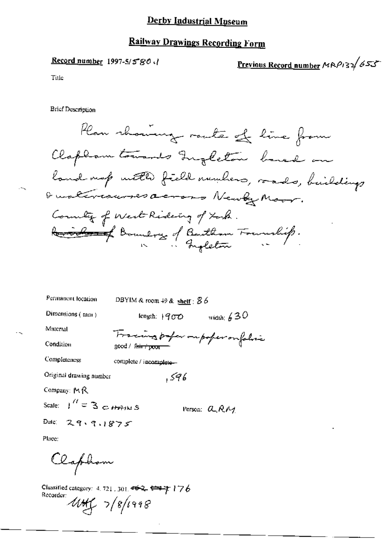# **Railway Drawings Recording Form**

#### *Record number* 1997-5/5"80 (*)*

Previous Record number MRP132 655

Title

**Brief Description** 

Plan rhoumage route of line from Clapham towards Ingleton baned on land map with field numbers, roads, buildings Qualivauresacres Newly Moor. Country of West Rideing of took. Revised Boundary of Bentlem Foundity.

| Permanent location                                                                 | DBYIM & room $49$ & shelf : $86$                                                    |
|------------------------------------------------------------------------------------|-------------------------------------------------------------------------------------|
| Dimensions (mm)                                                                    | width: $630$<br>length: $1900$                                                      |
| Material                                                                           |                                                                                     |
| Condition                                                                          | Fracing paper oupofer on folice<br>$\text{good} \setminus \text{f}$ air $\tau$ poor |
| Completeness                                                                       | complete / incomplete-                                                              |
| Original drawing number                                                            | 596 .                                                                               |
| Company: MR                                                                        |                                                                                     |
| Scale: $\int$ $\int$ $=$ 3 $\frac{1}{2}$ $\frac{1}{2}$ $\frac{1}{2}$ $\frac{1}{2}$ | Person: $a_{R}A$                                                                    |
| Date: 29.9.1875                                                                    |                                                                                     |

Place:

Olaphon

Classified category:  $4.721$ , 301,  $462$ ,  $\leftrightarrow$   $7$   $\rightarrow$   $76$ Recorder: UHC 7/8/1998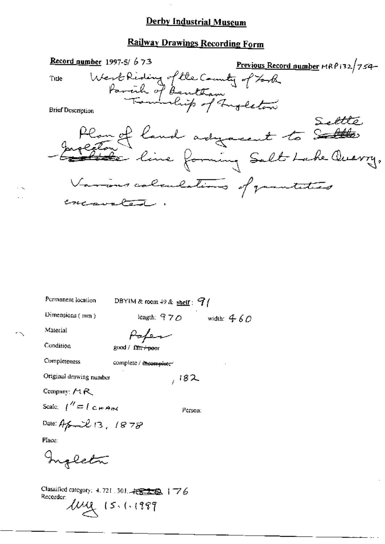### **Railway Drawings Recording Form**

Record number 1997-5/ $673$ Previous Record number MRP132/754-West Riding of the Country of Look Tule **Brief Description** Plan of land adyacent to Saltes Various colonlations of paratities concavated.

Permanent location

DBYIM & room 49 & shelf:  $9/$ 

Dimensions (mm)

length:  $970$ width:  $460$ 

Material

Condition

Poper good / fair + poor

Completeness

complete / insemplate\*

Original drawing number

Company: MR

Scale:  $1'' = 1$  C  $\mu$  And

Person:

 $,182$ 

Date: April 13, 1878

Place:

Ingleta

Classified category: 4, 721, 301, - FEED 3 | 76 Recorder:  $\mu_{1}$  15. (.1989)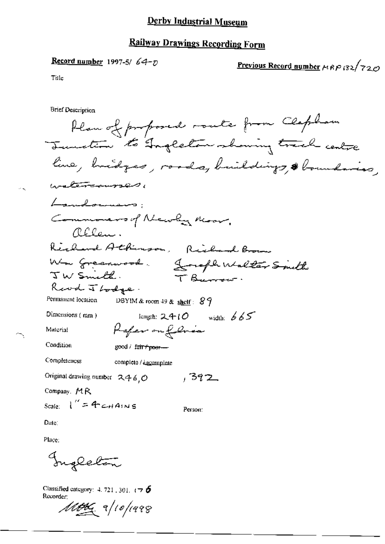### **Railway Drawings Recording Form**

#### Record number 1997-5/  $64-p$

<u>Previous Record number</u>  $\mu$  RP (32/720)

Tille

**Brief Description** 

Plan of proposed route from Clapham Junction to Ingleton showing track centre line, bridges, roads, buildings, & boundaries, watercourses, Lamalownans: Commoners of Newly Road, Relen. Richard Athenson, Richard Brown Wm Greenwood. Lough Walter Smith IW Smith. TBurrow. Read J Lodge. Permanant location DBYIM & room 49 & shelf:  $89$ Dimensions (mm) longth:  $2410$  width:  $665$ Rafer on folice Material Condition good / fair + poer-Completeness complete / incomplete Original drawing number  $2460$ , 392 Company, MR Scale:  $1'' = 4 - \mu A_1 N s$ Person: Date:

Place:

Ingleton

Classified category:  $4.721.301.776$ Recorder:

 $\mathscr{M}\!\!\mathscr{B}\!\!\mathscr{C}$  a/10/1998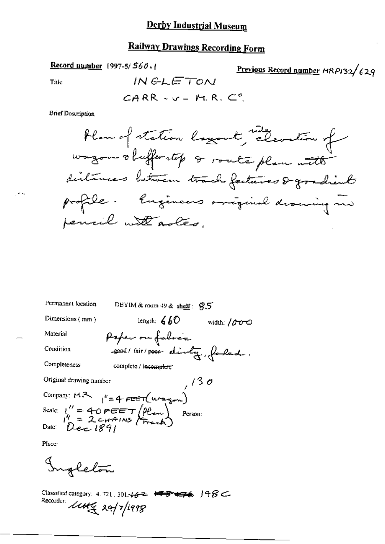# Railway Drawings Recording Form

Record number 1997-5/560.

Title

in s

$$
\mathsf{CARR} \prec \mathsf{v} = \mathsf{M.R. C}^o
$$

INGLETON

**Brief Description** 

| Permanent location      | DBYIM & roum 49 & shelf: 95                                                                                                                                                        |                               |
|-------------------------|------------------------------------------------------------------------------------------------------------------------------------------------------------------------------------|-------------------------------|
| Dimensions (mm)         | length: $660$                                                                                                                                                                      | width: $\sqrt{\partial \phi}$ |
| Material                | Poper on falses                                                                                                                                                                    |                               |
| Condition               | send / fair / poor dinty, faded.                                                                                                                                                   |                               |
| Completeness            | complete / incomplete*                                                                                                                                                             |                               |
| Original drawing number |                                                                                                                                                                                    | 7/30                          |
|                         |                                                                                                                                                                                    |                               |
|                         | Company: MR $t'' = 4 \text{ FEET}(\mu \Delta \mu)$<br>Scale: $t'' = 40 \text{ FEET} (\mu \Delta \mu)$<br>Pate: $t'' = 2 \text{ GHz} (\mu \Delta \mu)$<br>Date: $0 \text{ eC} (89)$ |                               |
|                         |                                                                                                                                                                                    |                               |
| Place:                  |                                                                                                                                                                                    |                               |

Ingleton

Classified category: 4.721, 301.462 <del>198 478</del> 198C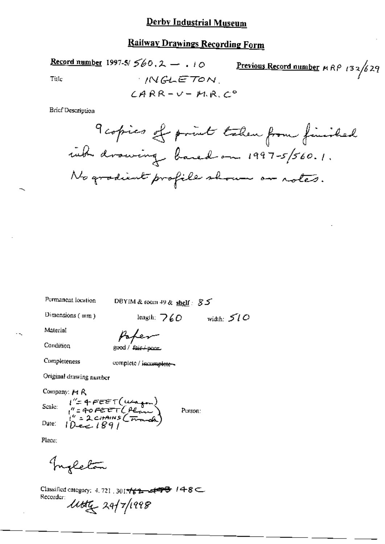Record number 1997-5/ $560.2 - 10$ Previous Record number  $MRP$  (32/629) **INGLETON** Title  $CARR-V-MA.C°$ 

**Brief Description** 

Permanent location

DBYIM & toom 49 & shelf:  $85$ 

Dimensions (mm)

length;  $760$  width:  $510$ 

Material

Condition

 $good /$   $f_{diff + p_{000L}}$ 

Pake

Completeness

complete / incomplete -

Original drawing number

Company: Pt R

Scale:

 $i^{\prime\prime}$ = 4 FEET (uno 100)<br> $i^{\prime\prime}$  = 40 FEET (Penn)<br> $i^{\prime\prime}$  = 2 chains (Franch)

Person:

Place:

Date:

Ingleton

Classified category: 4.721, 3014  $\frac{2}{62}$  det  $\frac{1}{6}$  / 48 Recorder: little 24/7/1998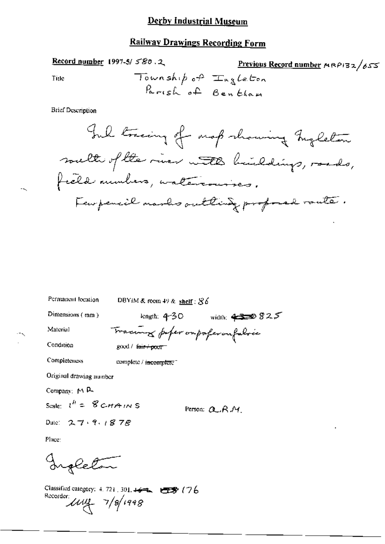# **Railway Drawings Recording Form**

Record number 1997-5/580.2

$$
\frac{\text{Previous Record number} \, \text{MRPI32}}{\text{Lag} \, \text{Le} \, \text{Coh}}
$$

Title

**Brief Description** 

| Permanent location                | DBYIM & room 49 & shelf; $86$                        |
|-----------------------------------|------------------------------------------------------|
| Dimensions (mm)                   | width: $4338825$<br>length: $4-30$                   |
| Material                          | Tracing paper or poper on falsie                     |
| Condition                         | $\gcd / \mathfrak{b}$ if $\rightarrow \mathsf{post}$ |
| Completeness                      | complete / incomplete "                              |
| Original drawing number           |                                                      |
| Company: M P-                     |                                                      |
| Scale: $l^h = \mathcal{B}$ CHAINS | Person: Q.R.M.                                       |
| Date: $2.7.9.1878$                |                                                      |

Place:

Ingleton

Classified category: 4, 721, 301, 46 == 078 (76 Recorder  $\mu$  $\mu$   $\frac{7}{8}$  1998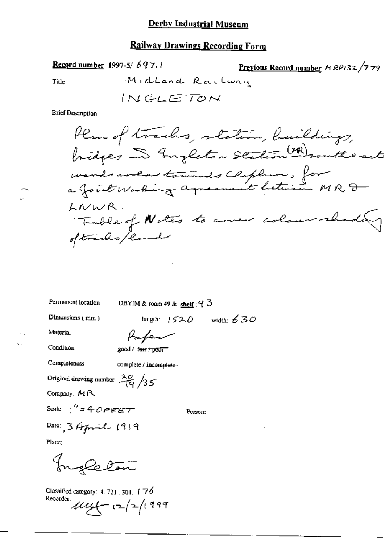Record number 1997-5/697.1

Previous Record number  $AOP132/779$ 

Title

$$
MidLand Rarlway
$$
  

$$
INGLETON
$$

**Brief Description** 

Permanent location

DBYIM & room 49 & shelf:  $93$ 

Dimensions  $(mm)$ 

length:  $1520$  width:  $630$ 

Material

Papar

Condition

good / feir / poor

Completeness

complete / incomplete-

Original drawing number  $\frac{\lambda \sigma}{\sqrt{q}}$  /35

Company: MR

Scale:  $1''$  = 40 FEET

Person:

Date: 3 April 1919

Place:

Ingleton

Classified category: 4, 721, 301, 176 Recorder  $\mu\mu$   $(2/2)$  1999